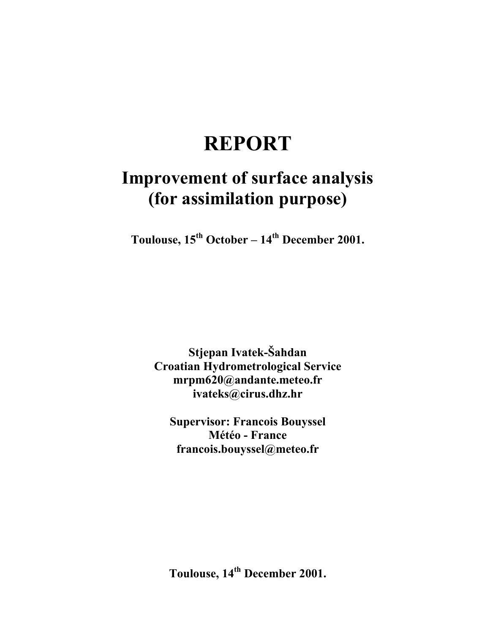# **REPORT**

# **Improvement of surface analysis (for assimilation purpose)**

Toulouse, 15<sup>th</sup> October – 14<sup>th</sup> December 2001.

**Stjepan Ivatek-Šahdan Croatian Hydrometrological Service mrpm620@andante.meteo.fr ivateks@cirus.dhz.hr** 

**Supervisor: Francois Bouyssel Météo - France francois.bouyssel@meteo.fr** 

Toulouse, 14<sup>th</sup> December 2001.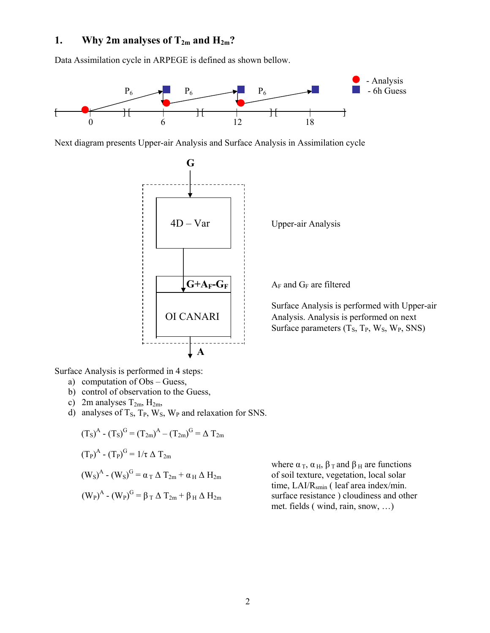# **1.** Why 2m analyses of  $T_{2m}$  and  $H_{2m}$ ?

Data Assimilation cycle in ARPEGE is defined as shown bellow.



Next diagram presents Upper-air Analysis and Surface Analysis in Assimilation cycle



Surface Analysis is performed in 4 steps:

- a) computation of Obs Guess,
- b) control of observation to the Guess,
- c) 2m analyses  $T_{2m}$ ,  $H_{2m}$ ,
- d) analyses of  $T_s$ ,  $T_p$ ,  $W_s$ ,  $W_p$  and relaxation for SNS.

$$
(T_S)^A - (T_S)^G = (T_{2m})^A - (T_{2m})^G = \Delta T_{2m}
$$
  
\n
$$
(T_P)^A - (T_P)^G = 1/\tau \Delta T_{2m}
$$
  
\n
$$
(W_S)^A - (W_S)^G = \alpha_T \Delta T_{2m} + \alpha_H \Delta H_{2m}
$$
  
\n
$$
(W_P)^A - (W_P)^G = \beta_T \Delta T_{2m} + \beta_H \Delta H_{2m}
$$

where  $\alpha_{\rm T}$ ,  $\alpha_{\rm H}$ ,  $\beta_{\rm T}$  and  $\beta_{\rm H}$  are functions of soil texture, vegetation, local solar time,  $LAI/R_{smin}$  ( leaf area index/min. surface resistance ) cloudiness and other met. fields ( wind, rain, snow, …)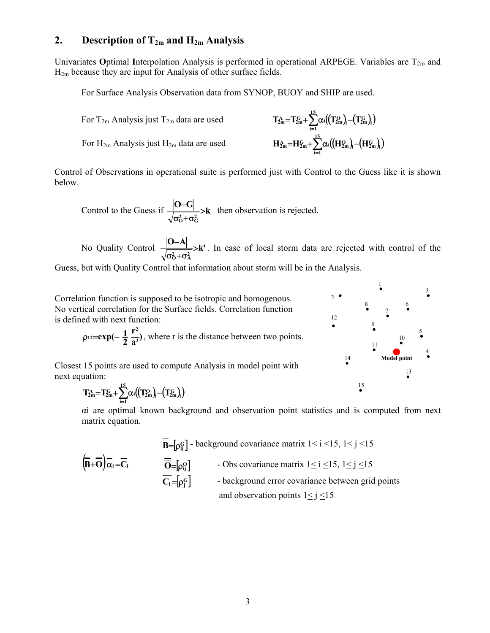#### **2. Description of T2m and H2m Analysis**

Univariates **O**ptimal Interpolation Analysis is performed in operational ARPEGE. Variables are T<sub>2m</sub> and H2m because they are input for Analysis of other surface fields.

For Surface Analysis Observation data from SYNOP, BUOY and SHIP are used.

For T2m Analysis just T2m data are used ( ) ( )( )**<sup>i</sup> <sup>G</sup> <sup>i</sup> 2m <sup>O</sup> 2m 15 i 1**  $T_{2m}^{\rm A} = T_{2m}^{\rm G} + \sum_{i=1}^{m} \alpha_i ((T_{2m}^{\rm O})_i - (T_{2m}^{\rm O}))$ For H2m Analysis just H2m data are used ( ) ( )( )**<sup>i</sup> <sup>G</sup> <sup>i</sup> 2m <sup>O</sup> 2m 15**  $H_{2m}^{\text{A}} = H_{2m}^{\text{G}} + \sum_{i=1}^{n} \alpha_i ((H_{2m}^{\text{O}})_i - (H_i^{\text{O}}))^2$ 

Control of Observations in operational suite is performed just with Control to the Guess like it is shown below.

**i 1**

Control to the Guess if 
$$
\frac{|\mathbf{O}-\mathbf{G}|}{\sqrt{\sigma_0^2 + \sigma_G^2}}
$$
>k then observation is rejected.

No Quality Control  $\frac{|\mathbf{O}-\mathbf{A}|}{\sqrt{\sigma_0^2+\sigma_A^2}} > \mathbf{k}$ >  $\sigma_{\rm O}^2$ +σ  $-\mathbf{A}$   $\rightarrow$   $\mathbf{k}'$ . In case of local storm data are rejected with control of the

Guess, but with Quality Control that information about storm will be in the Analysis.

Correlation function is supposed to be isotropic and homogenous. No vertical correlation for the Surface fields. Correlation function is defined with next function:

$$
\rho_{12} = \exp(-\frac{1}{2}\frac{r^2}{a^2})
$$
, where r is the distance between two points.

Closest 15 points are used to compute Analysis in model point with next equation:

$$
T_{2m}^A\!\!=\!\!T_{2m}^{\rm G}\!\!+\!\!\sum_{i=1}^{15}\!\alpha_i\!\!\left(\!\left(T_{2m}^{\rm O}\right)\!\!\right)\!\!-\!\!\left(T_{2m}^{\rm G}\right)\!\!\right)
$$

αi are optimal known background and observation point statistics and is computed from next matrix equation.

$$
\overline{\overline{B}} = [\rho_{ij}^G] - \text{background covariance matrix } 1 \leq i \leq 15, 1 \leq j \leq 15
$$
\n
$$
\overline{\overline{O}} = [\rho_{ij}^G] - \text{Obs covariance matrix } 1 \leq i \leq 15, 1 \leq j \leq 15
$$
\n
$$
\overline{C_i} = [\rho_j^G] - \text{background error covariance between grid points}
$$
\nand observation points  $1 \leq j \leq 15$ 

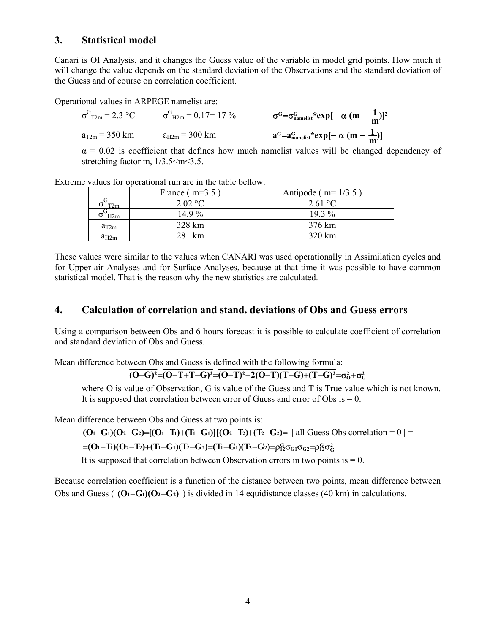## **3. Statistical model**

Canari is OI Analysis, and it changes the Guess value of the variable in model grid points. How much it will change the value depends on the standard deviation of the Observations and the standard deviation of the Guess and of course on correlation coefficient.

Operational values in ARPEGE namelist are:

$$
\sigma^{G}_{T2m} = 2.3 \text{ °C} \qquad \sigma^{G}_{H2m} = 0.17 = 17 \text{ °C} \qquad \sigma^{G} = \sigma^{G}_{namelist} * exp[-\alpha (m - \frac{1}{m})]^{2}
$$
  
a<sub>T2m</sub> = 350 km \qquad a<sub>H2m</sub> = 300 km \qquad a<sup>G</sup>=a<sub>namelist</sub><sup>c</sup> exp[-\alpha (m - \frac{1}{m})]

 $\alpha$  = 0.02 is coefficient that defines how much namelist values will be changed dependency of stretching factor m,  $1/3.5 \le m \le 3.5$ .

Extreme values for operational run are in the table bellow.

|           | France $(m=3.5)$ | Antipode ( $m=1/3.5$ ) |
|-----------|------------------|------------------------|
| T2m       | 2.02 °C          | 2.61 °C                |
| H2m       | $14.9\%$         | $19.3\%$               |
| $a_{T2m}$ | 328 km           | 376 km                 |
| $a_{H2m}$ | 281 km           | 320 km                 |

These values were similar to the values when CANARI was used operationally in Assimilation cycles and for Upper-air Analyses and for Surface Analyses, because at that time it was possible to have common statistical model. That is the reason why the new statistics are calculated.

## **4. Calculation of correlation and stand. deviations of Obs and Guess errors**

Using a comparison between Obs and 6 hours forecast it is possible to calculate coefficient of correlation and standard deviation of Obs and Guess.

Mean difference between Obs and Guess is defined with the following formula:

#### **(O−G)**<sup>2</sup>=(O−T+T−G)<sup>2</sup>=(O−T)<sup>2</sup>+2(O−T)(T−G)+(T−G)<sup>2</sup>=σ<sup>2</sup>+σ<sup>2</sup>

where O is value of Observation, G is value of the Guess and T is True value which is not known. It is supposed that correlation between error of Guess and error of Obs is  $= 0$ .

Mean difference between Obs and Guess at two points is:

 $\overline{(O_1-G_1)(O_2-G_2)}$   $=\overline{(O_1-T_1)+(T_1-G_1)}[(O_2-T_2)+(T_2-G_2)]$  all Guess Obs correlation = 0 | =

# $\mathbf{C} = (O_1 - T_1)(O_2 - T_2) + (T_1 - G_1)(T_2 - G_2) = (T_1 - G_1)(T_2 - G_2) = \rho_{12}^G \sigma_{G1} \sigma_{G2} = \rho_{12}^G \sigma_G^2$

It is supposed that correlation between Observation errors in two points is  $= 0$ .

Because correlation coefficient is a function of the distance between two points, mean difference between Obs and Guess ( **(O1**−**G1)(O2**−**G2)** ) is divided in 14 equidistance classes (40 km) in calculations.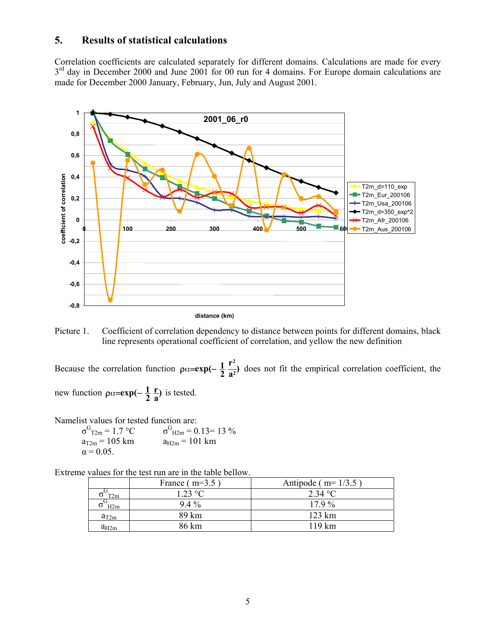### **5. Results of statistical calculations**

Correlation coefficients are calculated separately for different domains. Calculations are made for every 3<sup>rd</sup> day in December 2000 and June 2001 for 00 run for 4 domains. For Europe domain calculations are made for December 2000 January, February, Jun, July and August 2001.



**distance (km)**

Picture 1. Coefficient of correlation dependency to distance between points for different domains, black line represents operational coefficient of correlation, and yellow the new definition

Because the correlation function  $\rho_{12} = \exp(-\frac{1}{2} \frac{r^2}{a^2})$  $p_{12} = exp(-\frac{1}{2} \frac{r^2}{a^2})$  does not fit the empirical correlation coefficient, the

new function  $\rho_{12} = \exp(-\frac{1}{2}\frac{r}{a})$ **r**  $p_{12} = exp(-\frac{1}{2}\frac{r}{a})$  is tested.

Namelist values for tested function are:

| $\sigma$ <sup>G</sup> <sub>T2m</sub> = 1.7 °C | $\sigma_{\text{H2m}}^{\text{G}} = 0.13 = 13\%$ |
|-----------------------------------------------|------------------------------------------------|
| $a_{T2m} = 105$ km                            | $a_{H2m} = 101$ km                             |
| $\alpha = 0.05$                               |                                                |

Extreme values for the test run are in the table bellow.

|                          | France $(m=3.5)$ | Antipode ( $m=1/3.5$ ) |
|--------------------------|------------------|------------------------|
| $\sigma$ T <sub>2m</sub> | 1 23 °C          | 2.34 °C                |
| H2m                      | $94\%$           | 179%                   |
| $a_{T2m}$                | 89 km            | $123 \text{ km}$       |
| $a_{H2m}$                | 86 km            | $119 \text{ km}$       |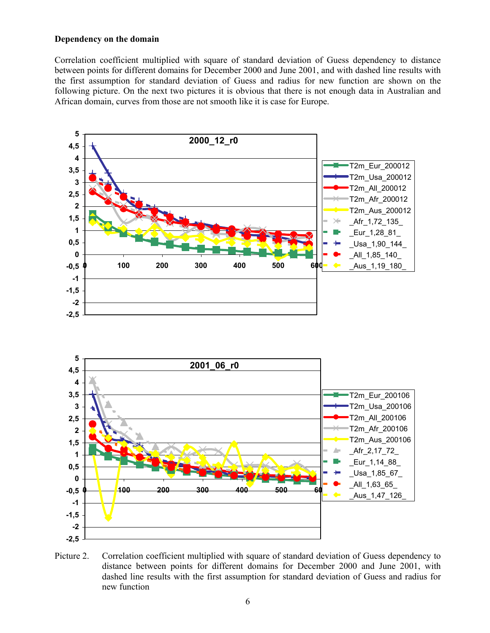#### **Dependency on the domain**

Correlation coefficient multiplied with square of standard deviation of Guess dependency to distance between points for different domains for December 2000 and June 2001, and with dashed line results with the first assumption for standard deviation of Guess and radius for new function are shown on the following picture. On the next two pictures it is obvious that there is not enough data in Australian and African domain, curves from those are not smooth like it is case for Europe.



Picture 2. Correlation coefficient multiplied with square of standard deviation of Guess dependency to distance between points for different domains for December 2000 and June 2001, with dashed line results with the first assumption for standard deviation of Guess and radius for new function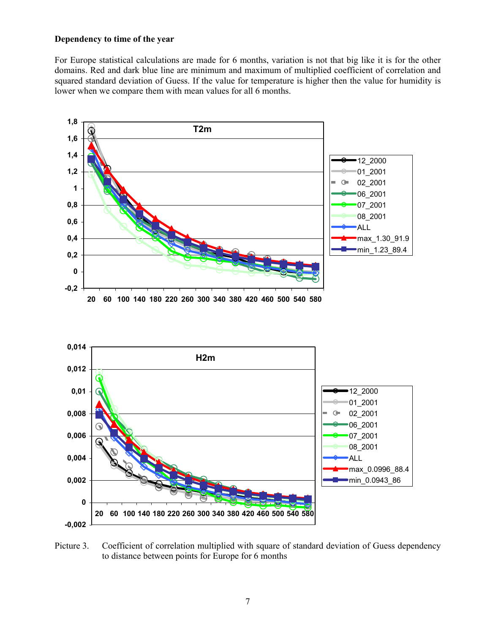#### **Dependency to time of the year**

For Europe statistical calculations are made for 6 months, variation is not that big like it is for the other domains. Red and dark blue line are minimum and maximum of multiplied coefficient of correlation and squared standard deviation of Guess. If the value for temperature is higher then the value for humidity is lower when we compare them with mean values for all 6 months.



Picture 3. Coefficient of correlation multiplied with square of standard deviation of Guess dependency to distance between points for Europe for 6 months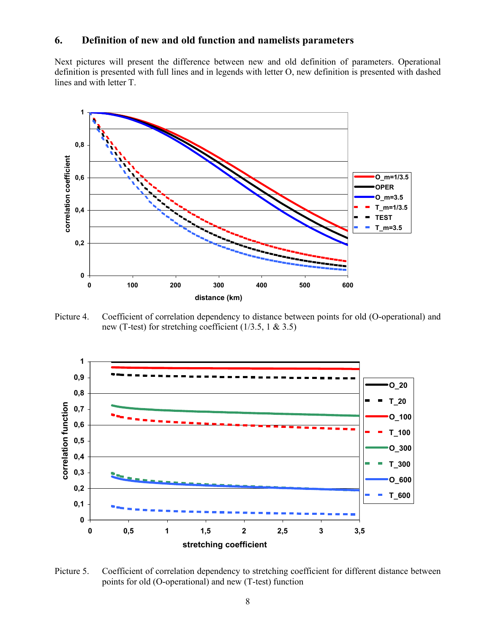# **6. Definition of new and old function and namelists parameters**

Next pictures will present the difference between new and old definition of parameters. Operational definition is presented with full lines and in legends with letter O, new definition is presented with dashed lines and with letter T.



Picture 4. Coefficient of correlation dependency to distance between points for old (O-operational) and new (T-test) for stretching coefficient  $(1/3.5, 1 \& 3.5)$ 



Picture 5. Coefficient of correlation dependency to stretching coefficient for different distance between points for old (O-operational) and new (T-test) function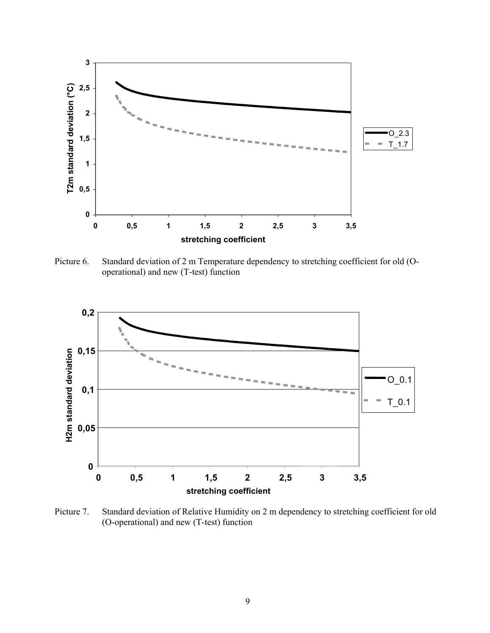

Picture 6. Standard deviation of 2 m Temperature dependency to stretching coefficient for old (Ooperational) and new (T-test) function



Picture 7. Standard deviation of Relative Humidity on 2 m dependency to stretching coefficient for old (O-operational) and new (T-test) function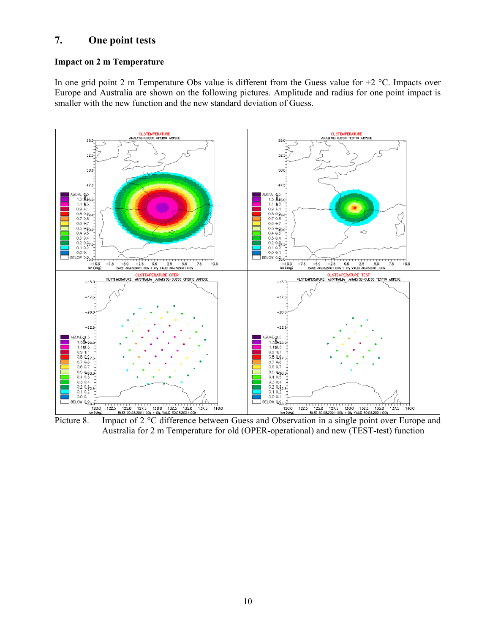# **7. One point tests**

#### **Impact on 2 m Temperature**

In one grid point 2 m Temperature Obs value is different from the Guess value for  $+2$  °C. Impacts over Europe and Australia are shown on the following pictures. Amplitude and radius for one point impact is smaller with the new function and the new standard deviation of Guess.



Picture 8. Impact of 2 °C difference between Guess and Observation in a single point over Europe and Australia for 2 m Temperature for old (OPER-operational) and new (TEST-test) function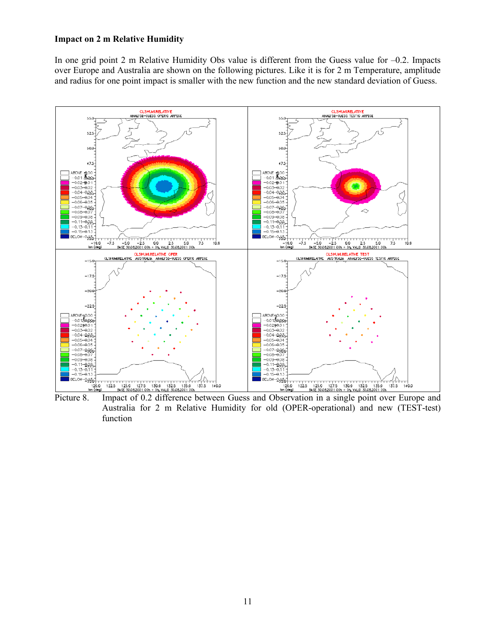#### **Impact on 2 m Relative Humidity**

In one grid point 2 m Relative Humidity Obs value is different from the Guess value for  $-0.2$ . Impacts over Europe and Australia are shown on the following pictures. Like it is for 2 m Temperature, amplitude and radius for one point impact is smaller with the new function and the new standard deviation of Guess.



Australia for 2 m Relative Humidity for old (OPER-operational) and new (TEST-test) function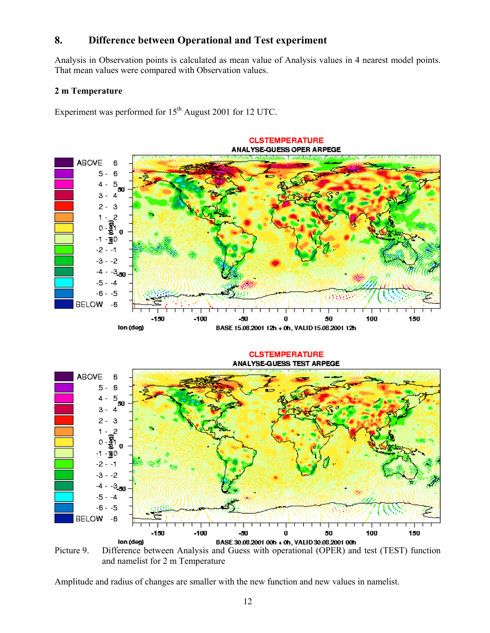# **8. Difference between Operational and Test experiment**

Analysis in Observation points is calculated as mean value of Analysis values in 4 nearest model points. That mean values were compared with Observation values.

#### **2 m Temperature**

Experiment was performed for  $15<sup>th</sup>$  August 2001 for 12 UTC.



Picture 9. Difference between Analysis and Guess with operational (OPER) and test (TEST) function and namelist for 2 m Temperature

Amplitude and radius of changes are smaller with the new function and new values in namelist.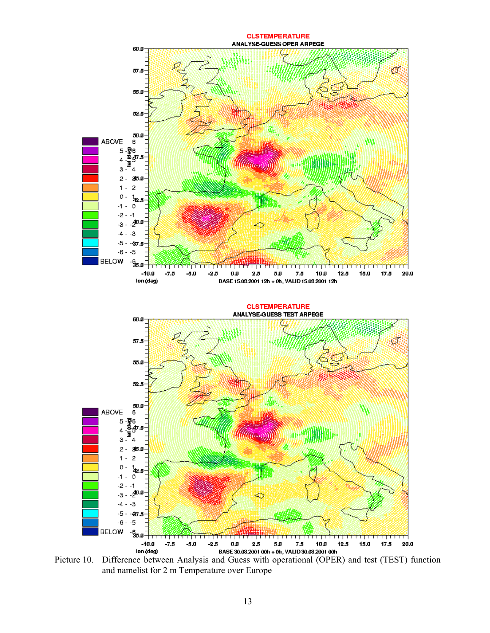

and namelist for 2 m Temperature over Europe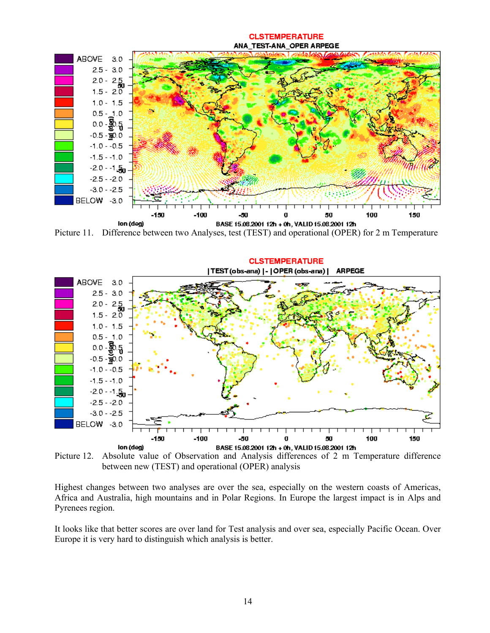#### ANA TEST-ANA OPER ARPEGE ABOVE 3.0  $2.5 - 3.0$  $2.0 - 2.5$  $1.5 - 2.0$  $1.0 - 1.5$  $0.5 - 1.0$ -ဆီ.5  $0.0$  $-0.5 - \frac{1}{50}0.0$  $-1.0 - -0.5$  $-1.5 - -1.0$  $-2.0 - 1.50$  $-2.5 - -2.0$  $-3.0 - -2.5$ BELOW -3.0 150 -100 đŪ, g 50 100 150 lon (deg) BASE 15.08.2001 12h + 0h, VALID 15.08.2001 12h

**CLSTEMPERATURE** 

Picture 11. Difference between two Analyses, test (TEST) and operational (OPER) for 2 m Temperature



Picture 12. Absolute value of Observation and Analysis differences of 2 m Temperature difference between new (TEST) and operational (OPER) analysis

Highest changes between two analyses are over the sea, especially on the western coasts of Americas, Africa and Australia, high mountains and in Polar Regions. In Europe the largest impact is in Alps and Pyrenees region.

It looks like that better scores are over land for Test analysis and over sea, especially Pacific Ocean. Over Europe it is very hard to distinguish which analysis is better.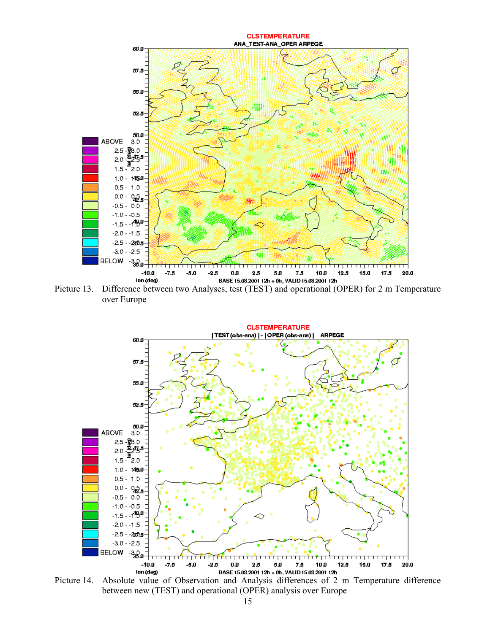

Picture 13. Difference between two Analyses, test (TEST) and operational (OPER) for 2 m Temperature over Europe



Picture 14. Absolute value of Observation and Analysis differences of 2 m Temperature difference between new (TEST) and operational (OPER) analysis over Europe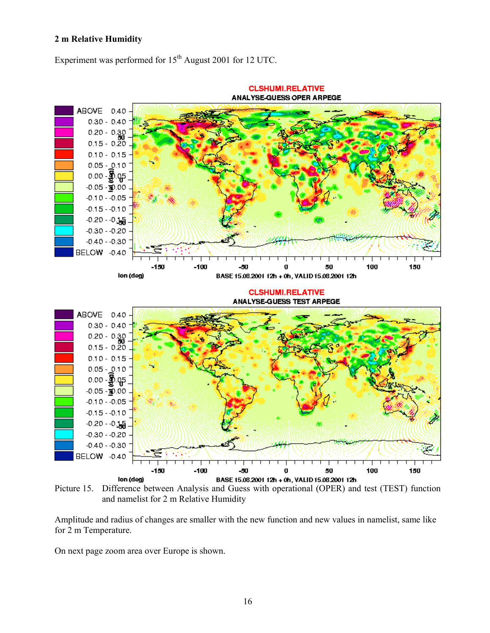#### **2 m Relative Humidity**

Experiment was performed for  $15<sup>th</sup>$  August 2001 for 12 UTC.



Picture 15. Difference between Analysis and Guess with operational (OPER) and test (TEST) function and namelist for 2 m Relative Humidity

Amplitude and radius of changes are smaller with the new function and new values in namelist, same like for 2 m Temperature.

On next page zoom area over Europe is shown.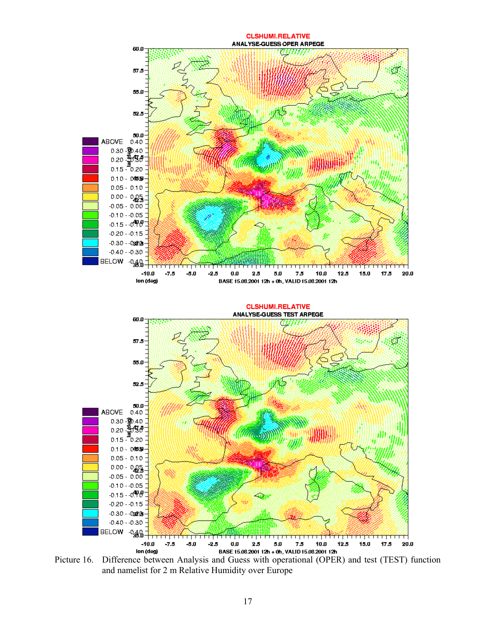

Picture 16. Difference between Analysis and Guess with operational (OPER) and test (TEST) function and namelist for 2 m Relative Humidity over Europe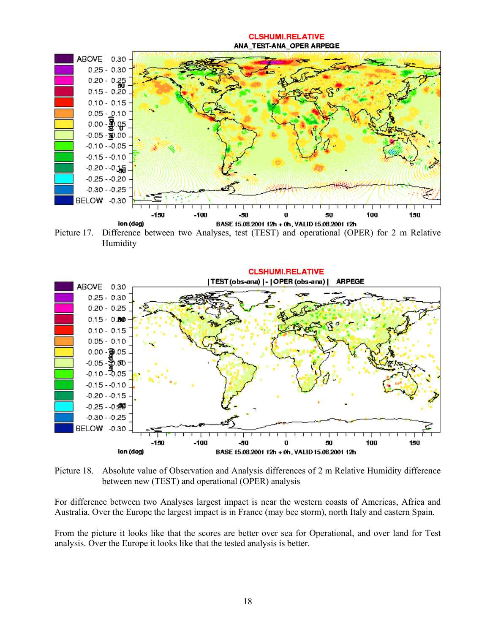#### **CLSHUMI.RELATIVE** ANA TEST-ANA OPER ARPEGE



Picture 17. Difference between two Analyses, test (TEST) and operational (OPER) for 2 m Relative Humidity



Picture 18. Absolute value of Observation and Analysis differences of 2 m Relative Humidity difference between new (TEST) and operational (OPER) analysis

For difference between two Analyses largest impact is near the western coasts of Americas, Africa and Australia. Over the Europe the largest impact is in France (may bee storm), north Italy and eastern Spain.

From the picture it looks like that the scores are better over sea for Operational, and over land for Test analysis. Over the Europe it looks like that the tested analysis is better.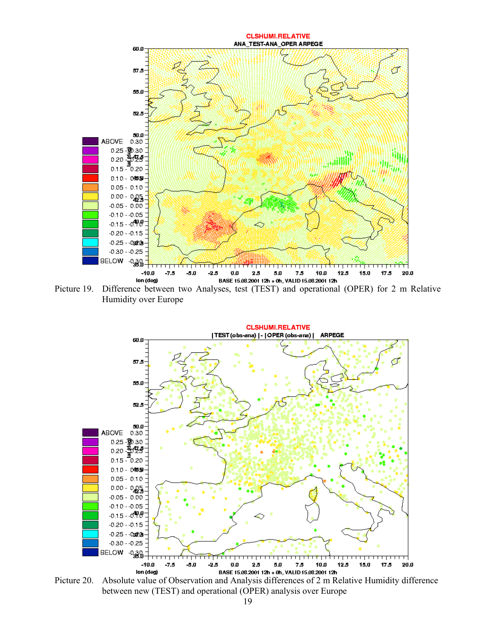





Picture 20. Absolute value of Observation and Analysis differences of 2 m Relative Humidity difference between new (TEST) and operational (OPER) analysis over Europe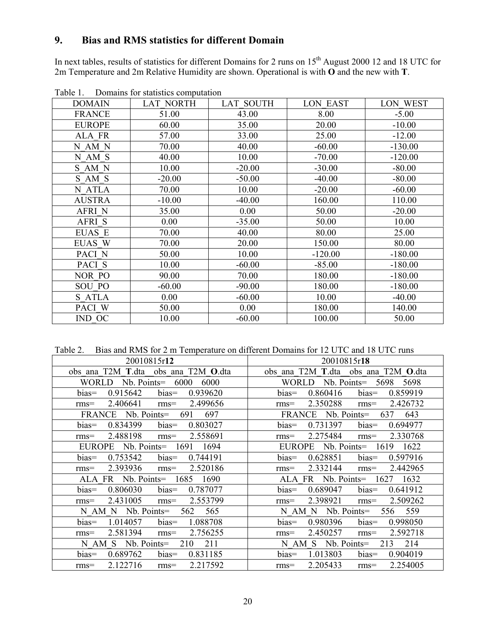# **9. Bias and RMS statistics for different Domain**

In next tables, results of statistics for different Domains for 2 runs on  $15<sup>th</sup>$  August 2000 12 and 18 UTC for 2m Temperature and 2m Relative Humidity are shown. Operational is with **O** and the new with **T**.

| <b>DOMAIN</b> | <b>LAT NORTH</b> | <b>LAT SOUTH</b> | <b>LON EAST</b> | LON WEST  |
|---------------|------------------|------------------|-----------------|-----------|
| <b>FRANCE</b> | 51.00            | 43.00            | 8.00            | $-5.00$   |
| <b>EUROPE</b> | 60.00            | 35.00            | 20.00           | $-10.00$  |
| ALA FR        | 57.00            | 33.00            | 25.00           | $-12.00$  |
| N AM N        | 70.00            | 40.00            | $-60.00$        | $-130.00$ |
| N AM S        | 40.00            | 10.00            | $-70.00$        | $-120.00$ |
| S AM N        | 10.00            | $-20.00$         | $-30.00$        | $-80.00$  |
| S AM S        | $-20.00$         | $-50.00$         | $-40.00$        | $-80.00$  |
| N ATLA        | 70.00            | 10.00            | $-20.00$        | $-60.00$  |
| <b>AUSTRA</b> | $-10.00$         | $-40.00$         | 160.00          | 110.00    |
| <b>AFRI N</b> | 35.00            | 0.00             | 50.00           | $-20.00$  |
| <b>AFRIS</b>  | 0.00             | $-35.00$         | 50.00           | 10.00     |
| <b>EUAS E</b> | 70.00            | 40.00            | 80.00           | 25.00     |
| EUAS W        | 70.00            | 20.00            | 150.00          | 80.00     |
| PACI N        | 50.00            | 10.00            | $-120.00$       | $-180.00$ |
| PACI S        | 10.00            | $-60.00$         | $-85.00$        | $-180.00$ |
| NOR PO        | 90.00            | 70.00            | 180.00          | $-180.00$ |
| <b>SOU PO</b> | $-60.00$         | $-90.00$         | 180.00          | $-180.00$ |
| S ATLA        | 0.00             | $-60.00$         | 10.00           | $-40.00$  |
| PACI W        | 50.00            | 0.00             | 180.00          | 140.00    |
| IND OC        | 10.00            | $-60.00$         | 100.00          | 50.00     |

Table 1. Domains for statistics computation

Table 2. Bias and RMS for 2 m Temperature on different Domains for 12 UTC and 18 UTC runs

| 20010815r12                             | 20010815r18                          |
|-----------------------------------------|--------------------------------------|
| obs ana T2M T.dta obs ana T2M O.dta     | obs ana T2M T.dta obs ana T2M O.dta  |
| 6000<br>Nb. Points=<br>- 6000<br>WORLD- | $Nb.$ Points=<br>5698 5698<br>WORLD- |
| 0.915642                                | 0.860416                             |
| $bias =$                                | $bias=$                              |
| $bias =$                                | 0.859919                             |
| 0.939620                                | $bias=$                              |
| 2.406641                                | 2.350288                             |
| 2.499656                                | 2.426732                             |
| $rms=$                                  | $rms=$                               |
| $rms=$                                  | $rms=$                               |
| FRANCE Nb. Points=                      | FRANCE Nb. Points=                   |
| 691                                     | 637                                  |
| 697                                     | 643                                  |
| 0.834399                                | 0.731397                             |
| $bias =$                                | 0.694977                             |
| 0.803027                                | $bias=$                              |
| $bias=$                                 | $bias=$                              |
| 2.488198                                | 2.275484                             |
| 2.558691                                | 2.330768                             |
| $rms=$                                  | $rms=$                               |
| $rms=$                                  | $rms=$                               |
| EUROPE Nb. Points= 1691 1694            | EUROPE Nb. Points = $1619$ 1622      |
| 0.753542                                | 0.628851                             |
| 0.744191                                | 0.597916                             |
| $bias =$                                | $bias=$                              |
| $bias=$                                 | $bias=$                              |
| 2.393936                                | 2.332144                             |
| 2.520186                                | 2.442965                             |
| $rms=$                                  | $rms=$                               |
| $rms=$                                  | $rms=$                               |
| ALA FR Nb. Points=<br>1685<br>1690      | ALA FR Nb. Points=<br>1627 1632      |
| 0.806030                                | 0.689047                             |
| 0.787077                                | 0.641912                             |
| $bias=$                                 | $bias=$                              |
| $bias=$                                 | $bias=$                              |
| 2.431005                                | 2.509262                             |
| 2.553799                                | 2.398921                             |
| $rms=$                                  | $rms=$                               |
| $rms=$                                  | $rms=$                               |
| 565<br>$N$ AM $N$ Nb. Points=<br>562    | 556 559<br>$N$ AM $N$ Nb. Points=    |
| 1.088708                                | $bias =$                             |
| $bias =$                                | 0.980396                             |
| 1.014057                                | 0.998050                             |
| $bias=$                                 | bias=                                |
| 2.581394                                | 2.592718                             |
| 2.756255                                | 2.450257                             |
| $rms=$                                  | $rms=$                               |
| $rms=$                                  | $rms=$                               |
| 210                                     | 213                                  |
| $N$ AM S $Nb$ . Points=                 | 214                                  |
| 211                                     | $N$ AM S $Nb$ . Points=              |
| 0.689762                                | 1.013803                             |
| 0.831185                                | $bias=$                              |
| $bias=$                                 | $bias=$                              |
| $bias=$                                 | 0.904019                             |
| 2.122716                                | 2.205433                             |
| 2.217592                                | 2.254005                             |
| $rms=$                                  | $rms=$                               |
| $rms=$                                  | $rms=$                               |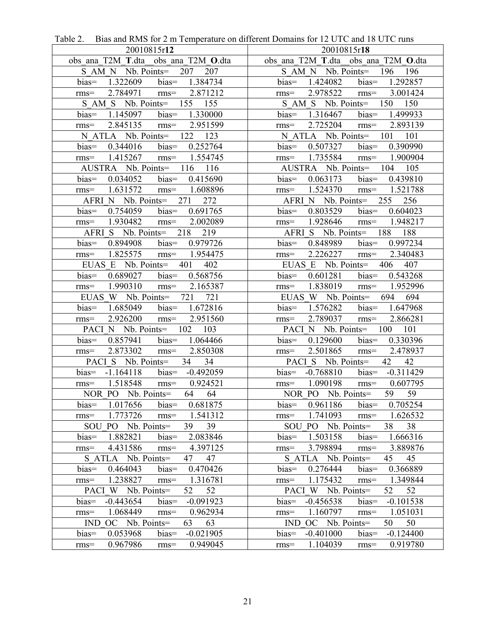| 20010815r12                              | 20010815r18                                                      |
|------------------------------------------|------------------------------------------------------------------|
| obs ana T2M T.dta obs ana T2M O.dta      | obs ana T2M T.dta obs ana T2M O.dta                              |
| S AM N Nb. Points = 207 207              | S AM N Nb. Points = 196 196                                      |
| bias=<br>1.322609 bias= 1.384734         | bias= $1.424082$ bias= $1.292857$                                |
| 2.784971 rms= 2.871212                   | 2.978522 rms= 3.001424                                           |
| $rms=$                                   | $rms=$                                                           |
| S AM S Nb. Points = 155 155              | S AM S Nb. Points = 150 150                                      |
| 1.145097 bias= 1.330000<br>$bias=$       | bias= 1.316467 bias= 1.499933                                    |
| 2.845135 rms= 2.951599                   | 2.725204 rms= 2.893139                                           |
| $rms=$                                   | $rms=$                                                           |
| N ATLA Nb. Points= 122 123               | N ATLA Nb. Points = 101 101                                      |
| $0.344016$ bias $0.252764$               | 0.507327 bias= 0.390990                                          |
| $bias=$                                  | $bias=$                                                          |
| 1.415267 rms= 1.554745<br>$rms=$         | rms= $1.735584$ rms= $1.900904$                                  |
| AUSTRA Nb. Points= 116 116               | AUSTRA Nb. Points= 104 105                                       |
| $0.034052$ bias $0.415690$               | $0.063173$ bias= $0.439810$                                      |
| $bias =$                                 | $bias =$                                                         |
| 1.631572 rms= 1.608896                   | 1.524370 rms= 1.521788                                           |
| $rms=$                                   | $rms=$                                                           |
| AFRI N Nb. Points = 271 272              | AFRI N Nb. Points = $255$ 256                                    |
| bias=                                    | $bias =$                                                         |
| 0.754059 bias= 0.691765                  | 0.803529 bias= 0.604023                                          |
| 1.930482 rms= 2.002089                   | 1.928646 rms= 1.948217                                           |
| $rms=$                                   | $rms=$                                                           |
| AFRI S Nb. Points = 218 219              | AFRI S Nb. Points = 188 188                                      |
| 0.894908 bias= 0.979726                  | 0.848989 bias= 0.997234                                          |
| $bias =$                                 | $bias=$                                                          |
| 1.825575 rms= 1.954475                   | 2.226227 rms= 2.340483                                           |
| $rms=$                                   | $rms=$                                                           |
| EUAS E Nb. Points = $401$<br>402         | EUAS E Nb. Points = $406$ 407                                    |
| $0.689027$ bias= $0.568756$              | $0.601281$ bias $0.543268$                                       |
| $bias =$                                 | $bias=$                                                          |
| 1.990310 rms= 2.165387                   | 1.838019 rms= 1.952996                                           |
| $rms=$                                   | $rms=$                                                           |
| EUAS W Nb. Points = 721 721              | EUAS W Nb. Points= 694 694                                       |
| 1.685049 bias= 1.672816<br>$bias=$       | bias= $1.576282$ bias= $1.647968$                                |
| 2.926200 rms= 2.951560                   | 2.789037 rms= 2.866281                                           |
| $rms=$                                   | $rms=$                                                           |
| PACI N Nb. Points= 102 103               | PACI N Nb. Points= 100 101                                       |
| 0.857941 bias= 1.064466                  | 0.129600 bias= 0.330396                                          |
| $bias =$                                 | $bias =$                                                         |
| 2.873302 rms= 2.850308                   | 2.501865 rms= 2.478937                                           |
| $rms=$                                   | $rms=$                                                           |
| PACI S Nb. Points = 34 34                | 42<br>42<br>PACI S Nb. Points=                                   |
| bias= $-1.164118$ bias= $-0.492059$      | bias= $-0.768810$ bias= $-0.311429$                              |
| 1.518548 rms= 0.924521<br>$rms=$         | 1.090198<br>$rms = 0.607795$<br>$rms=$                           |
| NOR PO Nb. Points=                       | NOR PO Nb. Points=                                               |
| 64 64                                    | 59 59                                                            |
| 1.017656                                 | 0.961186                                                         |
| bias=                                    | bias=                                                            |
| 0.681875                                 | 0.705254                                                         |
| $bias=$                                  | $bias=$                                                          |
| 1.773726                                 | 1.741093                                                         |
| 1.541312                                 | 1.626532                                                         |
| $rms=$                                   | $rms=$                                                           |
| $rms=$                                   | $rms=$                                                           |
| 39<br>PO Nb. Points=<br>39<br>SOU        | SOU PO Nb. Points=<br>38<br>38                                   |
| 1.882821                                 | bias=                                                            |
| bias=                                    | 1.503158                                                         |
| 2.083846                                 | bias=                                                            |
| $bias =$                                 | 1.666316                                                         |
| 4.431586                                 | 3.889876                                                         |
| 4.397125                                 | 3.798894                                                         |
| $rms=$                                   | $rms=$                                                           |
| $rms=$                                   | $rms=$                                                           |
| S ATLA Nb. Points=                       | S ATLA Nb. Points=                                               |
| 47                                       | 45                                                               |
| 47                                       | 45                                                               |
| 0.464043                                 | 0.366889                                                         |
| $bias =$                                 | 0.276444                                                         |
| 0.470426                                 | $bias =$                                                         |
| $bias =$                                 | $bias=$                                                          |
| 1.238827                                 | 1.175432                                                         |
| 1.316781                                 | 1.349844                                                         |
| $rms=$                                   | $rms=$                                                           |
| $rms=$                                   | $rms=$                                                           |
| PACI W Nb. Points=<br>52<br>52           | $Nb.$ Points=<br>52<br>52<br>PACI W                              |
| bias=                                    | $-0.456538$                                                      |
| $-0.091923$                              | $bias =$                                                         |
| $-0.443654$                              | $-0.101538$                                                      |
| bias=                                    | bias=                                                            |
| 1.068449<br>0.962934<br>$rms=$<br>$rms=$ | 1.051031<br>1.160797<br>$rms=$<br>$rms=$<br>OC Nb. Points=<br>50 |
| OC Nb. Points=<br>63<br><b>IND</b><br>63 | 50<br><b>IND</b>                                                 |
| bias=                                    | $-0.401000$                                                      |
| $-0.021905$                              | $-0.124400$                                                      |
| $bias =$                                 | $bias =$                                                         |
| 0.053968                                 | $bias=$                                                          |
| 0.967986                                 | 1.104039                                                         |
| 0.949045                                 | 0.919780                                                         |
| $rms=$                                   | $rms=$                                                           |
| $rms=$                                   | $rms=$                                                           |

Table 2. Bias and RMS for 2 m Temperature on different Domains for 12 UTC and 18 UTC runs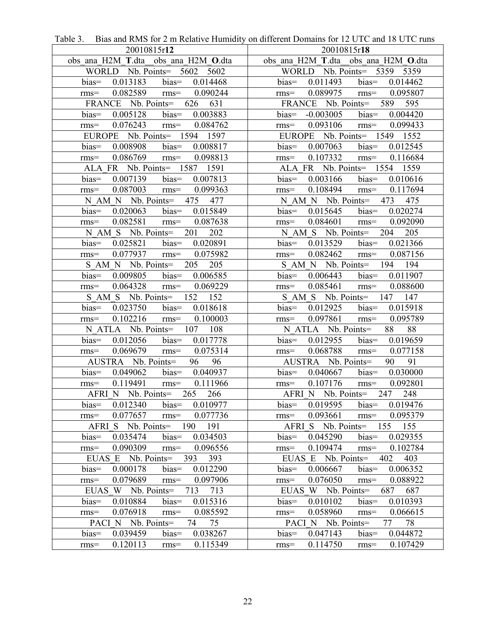| $\frac{1}{2}$ and reflix for $\frac{1}{2}$ in reductive frummer,<br>20010815r12 | on anterest $D$ ontains for $I = C$ for $T = C$ functions of $C$<br>20010815r18 |
|---------------------------------------------------------------------------------|---------------------------------------------------------------------------------|
| obs ana H2M T.dta obs ana H2M O.dta                                             | obs ana H2M T.dta_obs_ana_H2M_O.dta                                             |
| WORLD Nb. Points = $5602$ 5602                                                  | WORLD Nb. Points= 5359 5359                                                     |
| bias= $0.013183$ bias= $0.014468$                                               | bias= $0.011493$ bias= $0.014462$                                               |
| $0.082589$ rms=<br>0.090244<br>$rms=$                                           | rms= $0.089975$ rms= $0.095807$                                                 |
| FRANCE Nb. Points= 626 631                                                      | FRANCE Nb. Points= 589 595                                                      |
| 0.005128 bias= 0.003883<br>$bias =$                                             | bias= $-0.003005$ bias= $0.004420$                                              |
| $0.076243$ rms= $0.084762$<br>$rms=$                                            | $0.093106$ rms= $0.099433$<br>$rms=$                                            |
| EUROPE Nb. Points= 1594 1597                                                    | EUROPE Nb. Points= 1549 1552                                                    |
| $bias =$<br>$0.008908$ bias= $0.008817$                                         | bias= $0.007063$ bias= $0.012545$                                               |
| $0.086769$ rms=<br>0.098813<br>$rms=$                                           | $0.107332$ rms= $0.116684$<br>$rms=$                                            |
| ALA FR Nb. Points= 1587 1591                                                    | ALA FR Nb. Points = 1554 1559                                                   |
| $0.007139$ bias $0.007813$<br>$bias =$                                          | $0.003166$ bias= $0.010616$<br>$bias=$                                          |
| 0.087003 rms= 0.099363<br>$rms=$                                                | $0.108494$ rms= $0.117694$<br>$rms=$                                            |
| N AM N Nb. Points = 475 477                                                     | N AM N Nb. Points = 473 475                                                     |
| $bias =$<br>$0.020063$ bias= $0.015849$                                         | $0.015645$ bias= $0.020274$<br>$bias=$                                          |
| 0.082581 rms= 0.087638<br>$rms=$                                                | $0.084601$ rms= $0.092090$<br>$rms=$                                            |
| N AM S Nb. Points = 201 202                                                     | N AM S Nb. Points = 204 205                                                     |
| 0.025821 bias= 0.020891<br>$bias=$                                              | bias= $0.013529$ bias= $0.021366$                                               |
| $0.077937$ rms= $0.075982$<br>$rms=$                                            | $0.082462$ rms= $0.087156$<br>$rms=$                                            |
| S AM N Nb. Points = 205 205                                                     | S AM N Nb. Points = 194 194                                                     |
| $0.009805$ bias $0.006585$<br>$bias =$                                          | $0.006443$ bias $0.011907$<br>$bias =$                                          |
| 0.064328<br>$rms=$<br>0.069229<br>$rms=$                                        | 0.085461<br>$rms = 0.088600$<br>$rms=$                                          |
| S AM S Nb. Points = 152 152                                                     | S AM S Nb. Points = 147 147                                                     |
| $0.023750$ bias $0.018618$<br>$bias=$                                           | $0.012925$ bias $0.015918$<br>$bias=$                                           |
| $0.102216$ rms=<br>0.100003<br>$rms=$                                           | 0.097861 rms= 0.095789<br>$rms=$                                                |
| N ATLA Nb. Points = $107$ $108$                                                 | N ATLA Nb. Points=<br>88 88                                                     |
| 0.012056 bias= 0.017778<br>$bias =$                                             | bias= $0.012955$ bias= $0.019659$                                               |
| $0.069679$ rms= $0.075314$<br>$rms=$                                            | 0.068788 rms= 0.077158<br>$rms=$                                                |
| AUSTRA Nb. Points= 96<br>96                                                     | 90 91<br>AUSTRA Nb. Points=                                                     |
| $0.049062$ bias $0.040937$<br>$bias=$                                           | bias= $0.040667$ bias= $0.030000$                                               |
| 0.119491 rms= 0.111966<br>$rms=$                                                | $0.107176$ rms= $0.092801$<br>$rms=$                                            |
| AFRI N Nb. Points= 265 266                                                      | AFRI N Nb. Points= 247 248                                                      |
| 0.012340<br>$bias =$<br>0.010977<br>$bias=$                                     | 0.019595<br>$bias=$<br>0.019476<br>$bias=$                                      |
| 0.077657<br>0.077736<br>$rms=$<br>$rms=$                                        | 0.093661<br>0.095379<br>$rms=$<br>$rms=$                                        |
| AFRI S Nb. Points=<br>190<br>191                                                | AFRI S Nb. Points=<br>155<br>155                                                |
| 0.035474<br>$bias =$<br>$bias =$<br>0.034503                                    | 0.045290<br>$bias =$<br>0.029355<br>$bias =$                                    |
| 0.090309<br>0.096556<br>$rms=$<br>$rms=$                                        | 0.109474<br>0.102784<br>$rms=$<br>$rms=$                                        |
| Nb. Points=<br>393<br>393<br>EUAS E                                             | EUAS E Nb. Points=<br>402<br>403                                                |
| bias=<br>0.000178<br>$bias =$<br>0.012290<br>0.079689                           | bias=<br>$bias =$<br>0.006352<br>0.006667                                       |
| 0.097906<br>$rms=$<br>$rms=$<br>EUAS W Nb. Points=<br>713<br>713                | 0.076050<br>0.088922<br>$rms=$<br>$rms=$<br>EUAS W Nb. Points=                  |
| 0.010884<br>0.015316<br>$bias =$<br>$bias =$                                    | 687<br>687<br>0.010102<br>0.010393<br>$bias =$<br>$bias =$                      |
| 0.076918<br>0.085592                                                            | 0.058960<br>0.066615                                                            |
| $rms=$<br>$rms=$<br>PACI N Nb. Points=<br>74<br>75                              | $rms=$<br>$rms=$<br>78<br>PACI N Nb. Points=<br>77                              |
| 0.039459<br>0.038267<br>$bias =$<br>$bias=$                                     | 0.047143<br>0.044872<br>$bias =$<br>$bias=$                                     |
| 0.115349<br>0.120113<br>$rms=$                                                  | 0.114750<br>0.107429                                                            |
| $rms=$                                                                          | $rms=$<br>$rms=$                                                                |

Table 3. Bias and RMS for 2 m Relative Humidity on different Domains for 12 UTC and 18 UTC runs